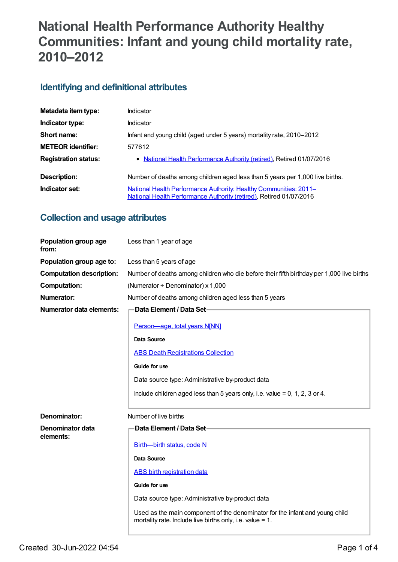# **National Health Performance Authority Healthy Communities: Infant and young child mortality rate, 2010–2012**

## **Identifying and definitional attributes**

| Metadata item type:         | Indicator                                                                                                                                |
|-----------------------------|------------------------------------------------------------------------------------------------------------------------------------------|
| Indicator type:             | <b>Indicator</b>                                                                                                                         |
| Short name:                 | Infant and young child (aged under 5 years) mortality rate, 2010–2012                                                                    |
| <b>METEOR identifier:</b>   | 577612                                                                                                                                   |
| <b>Registration status:</b> | • National Health Performance Authority (retired), Retired 01/07/2016                                                                    |
| Description:                | Number of deaths among children aged less than 5 years per 1,000 live births.                                                            |
| Indicator set:              | National Health Performance Authority: Healthy Communities: 2011-<br>National Health Performance Authority (retired), Retired 01/07/2016 |

## **Collection and usage attributes**

| Population group age<br>from:   | Less than 1 year of age                                                                                                                      |
|---------------------------------|----------------------------------------------------------------------------------------------------------------------------------------------|
| Population group age to:        | Less than 5 years of age                                                                                                                     |
| <b>Computation description:</b> | Number of deaths among children who die before their fifth birthday per 1,000 live births                                                    |
| <b>Computation:</b>             | (Numerator + Denominator) x 1,000                                                                                                            |
| <b>Numerator:</b>               | Number of deaths among children aged less than 5 years                                                                                       |
| Numerator data elements:        | <b>Data Element / Data Set-</b>                                                                                                              |
|                                 | Person-age, total years N[NN]                                                                                                                |
|                                 | <b>Data Source</b>                                                                                                                           |
|                                 | <b>ABS Death Registrations Collection</b>                                                                                                    |
|                                 | Guide for use                                                                                                                                |
|                                 | Data source type: Administrative by-product data                                                                                             |
|                                 | Include children aged less than 5 years only, i.e. value = $0, 1, 2, 3$ or 4.                                                                |
| Denominator:                    | Number of live births                                                                                                                        |
| Denominator data                | Data Element / Data Set-                                                                                                                     |
| elements:                       | Birth-birth status, code N                                                                                                                   |
|                                 | <b>Data Source</b>                                                                                                                           |
|                                 | <b>ABS</b> birth registration data                                                                                                           |
|                                 | Guide for use                                                                                                                                |
|                                 | Data source type: Administrative by-product data                                                                                             |
|                                 | Used as the main component of the denominator for the infant and young child<br>mortality rate. Include live births only, i.e. value = $1$ . |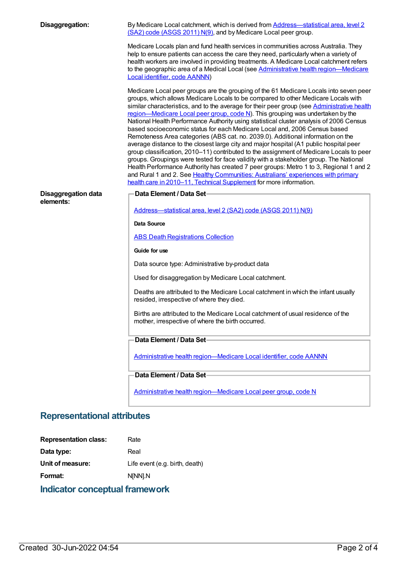| Disaggregation:                         | By Medicare Local catchment, which is derived from <b>Address—statistical area</b> , level 2<br>(SA2) code (ASGS 2011) N(9), and by Medicare Local peer group.                                                                                                                                                                                                                                                                                                                                                                                                                                                                                                                                                                                                                                                                                                                                                                                                                                                                                                                                                                                             |
|-----------------------------------------|------------------------------------------------------------------------------------------------------------------------------------------------------------------------------------------------------------------------------------------------------------------------------------------------------------------------------------------------------------------------------------------------------------------------------------------------------------------------------------------------------------------------------------------------------------------------------------------------------------------------------------------------------------------------------------------------------------------------------------------------------------------------------------------------------------------------------------------------------------------------------------------------------------------------------------------------------------------------------------------------------------------------------------------------------------------------------------------------------------------------------------------------------------|
|                                         | Medicare Locals plan and fund health services in communities across Australia. They<br>help to ensure patients can access the care they need, particularly when a variety of<br>health workers are involved in providing treatments. A Medicare Local catchment refers<br>to the geographic area of a Medical Local (see Administrative health region-Medicare<br>Local identifier, code AANNN)                                                                                                                                                                                                                                                                                                                                                                                                                                                                                                                                                                                                                                                                                                                                                            |
|                                         | Medicare Local peer groups are the grouping of the 61 Medicare Locals into seven peer<br>groups, which allows Medicare Locals to be compared to other Medicare Locals with<br>similar characteristics, and to the average for their peer group (see Administrative health<br>region—Medicare Local peer group, code N). This grouping was undertaken by the<br>National Health Performance Authority using statistical cluster analysis of 2006 Census<br>based socioeconomic status for each Medicare Local and, 2006 Census based<br>Remoteness Area categories (ABS cat. no. 2039.0). Additional information on the<br>average distance to the closest large city and major hospital (A1 public hospital peer<br>group classification, 2010-11) contributed to the assignment of Medicare Locals to peer<br>groups. Groupings were tested for face validity with a stakeholder group. The National<br>Health Performance Authority has created 7 peer groups: Metro 1 to 3, Regional 1 and 2<br>and Rural 1 and 2. See Healthy Communities: Australians' experiences with primary<br>health care in 2010-11, Technical Supplement for more information. |
| <b>Disaggregation data</b><br>elements: | Data Element / Data Set-<br>Address-statistical area, level 2 (SA2) code (ASGS 2011) N(9)                                                                                                                                                                                                                                                                                                                                                                                                                                                                                                                                                                                                                                                                                                                                                                                                                                                                                                                                                                                                                                                                  |
|                                         | <b>Data Source</b>                                                                                                                                                                                                                                                                                                                                                                                                                                                                                                                                                                                                                                                                                                                                                                                                                                                                                                                                                                                                                                                                                                                                         |
|                                         | <b>ABS Death Registrations Collection</b>                                                                                                                                                                                                                                                                                                                                                                                                                                                                                                                                                                                                                                                                                                                                                                                                                                                                                                                                                                                                                                                                                                                  |
|                                         | Guide for use                                                                                                                                                                                                                                                                                                                                                                                                                                                                                                                                                                                                                                                                                                                                                                                                                                                                                                                                                                                                                                                                                                                                              |
|                                         | Data source type: Administrative by-product data                                                                                                                                                                                                                                                                                                                                                                                                                                                                                                                                                                                                                                                                                                                                                                                                                                                                                                                                                                                                                                                                                                           |
|                                         | Used for disaggregation by Medicare Local catchment.                                                                                                                                                                                                                                                                                                                                                                                                                                                                                                                                                                                                                                                                                                                                                                                                                                                                                                                                                                                                                                                                                                       |
|                                         | Deaths are attributed to the Medicare Local catchment in which the infant usually<br>resided, irrespective of where they died.                                                                                                                                                                                                                                                                                                                                                                                                                                                                                                                                                                                                                                                                                                                                                                                                                                                                                                                                                                                                                             |
|                                         | Births are attributed to the Medicare Local catchment of usual residence of the<br>mother, irrespective of where the birth occurred.                                                                                                                                                                                                                                                                                                                                                                                                                                                                                                                                                                                                                                                                                                                                                                                                                                                                                                                                                                                                                       |
|                                         | Data Element / Data Set-                                                                                                                                                                                                                                                                                                                                                                                                                                                                                                                                                                                                                                                                                                                                                                                                                                                                                                                                                                                                                                                                                                                                   |
|                                         | Administrative health region-Medicare Local identifier, code AANNN                                                                                                                                                                                                                                                                                                                                                                                                                                                                                                                                                                                                                                                                                                                                                                                                                                                                                                                                                                                                                                                                                         |
|                                         | Data Element / Data Set-                                                                                                                                                                                                                                                                                                                                                                                                                                                                                                                                                                                                                                                                                                                                                                                                                                                                                                                                                                                                                                                                                                                                   |
|                                         | Administrative health region-Medicare Local peer group, code N                                                                                                                                                                                                                                                                                                                                                                                                                                                                                                                                                                                                                                                                                                                                                                                                                                                                                                                                                                                                                                                                                             |

# **Representational attributes**

| <b>Representation class:</b> | Rate                           |
|------------------------------|--------------------------------|
| Data type:                   | Real                           |
| Unit of measure:             | Life event (e.g. birth, death) |
| <b>Format:</b>               | N[NN].N                        |

# **Indicator conceptual framework**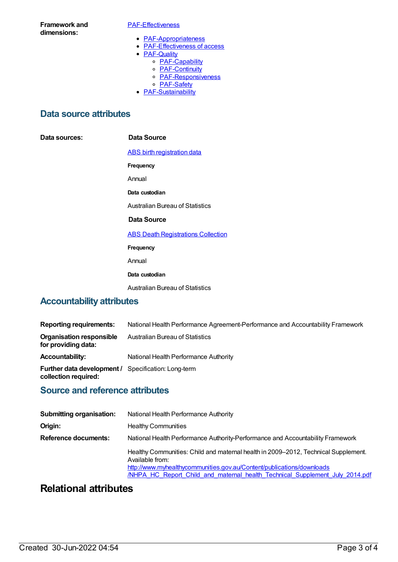**Framework and dimensions:**

#### [PAF-Effectiveness](https://meteor.aihw.gov.au/content/554925)

- [PAF-Appropriateness](https://meteor.aihw.gov.au/content/554929)
- [PAF-Effectiveness](https://meteor.aihw.gov.au/content/554928) of access
- **[PAF-Quality](https://meteor.aihw.gov.au/content/554930)** 
	- o [PAF-Capability](https://meteor.aihw.gov.au/content/554934)
	- o **[PAF-Continuity](https://meteor.aihw.gov.au/content/554935)**
	- o **[PAF-Responsiveness](https://meteor.aihw.gov.au/content/554933)**
	- o [PAF-Safety](https://meteor.aihw.gov.au/content/554932)
- **[PAF-Sustainability](https://meteor.aihw.gov.au/content/554931)**

### **Data source attributes**

**Data sources: Data Source**

ABS birth [registration](https://meteor.aihw.gov.au/content/394483) data

**Frequency**

Annual

**Data custodian**

Australian Bureau of Statistics

#### **Data Source**

**ABS Death [Registrations](https://meteor.aihw.gov.au/content/394481) Collection** 

**Frequency**

Annual

#### **Data custodian**

Australian Bureau of Statistics

### **Accountability attributes**

| <b>Reporting requirements:</b>                                                     | National Health Performance Agreement-Performance and Accountability Framework |
|------------------------------------------------------------------------------------|--------------------------------------------------------------------------------|
| Organisation responsible<br>for providing data:                                    | Australian Bureau of Statistics                                                |
| <b>Accountability:</b>                                                             | National Health Performance Authority                                          |
| <b>Further data development / Specification: Long-term</b><br>collection required: |                                                                                |

### **Source and reference attributes**

| <b>Submitting organisation:</b> | National Health Performance Authority                                                                                                                                                                                                                          |  |
|---------------------------------|----------------------------------------------------------------------------------------------------------------------------------------------------------------------------------------------------------------------------------------------------------------|--|
| Origin:                         | <b>Healthy Communities</b>                                                                                                                                                                                                                                     |  |
| <b>Reference documents:</b>     | National Health Performance Authority-Performance and Accountability Framework                                                                                                                                                                                 |  |
|                                 | Healthy Communities: Child and maternal health in 2009–2012, Technical Supplement.<br>Available from:<br>http://www.myhealthycommunities.gov.au/Content/publications/downloads<br>/NHPA HC Report Child and maternal health Technical Supplement July 2014.pdf |  |

## **Relational attributes**